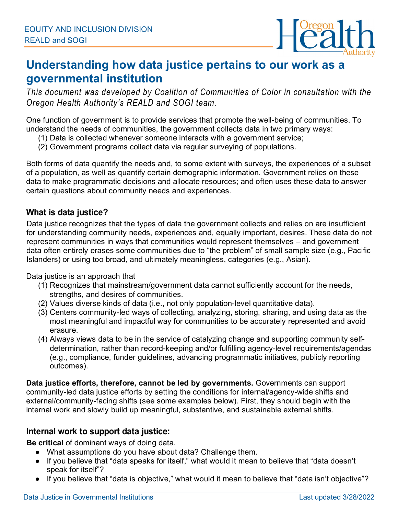

## **Understanding how data justice pertains to our work as a governmental institution**

*This document was developed by Coalition of Communities of Color in consultation with the Oregon Health Authority's REALD and SOGI team.*

One function of government is to provide services that promote the well-being of communities. To understand the needs of communities, the government collects data in two primary ways:

- (1) Data is collected whenever someone interacts with a government service;
- (2) Government programs collect data via regular surveying of populations.

Both forms of data quantify the needs and, to some extent with surveys, the experiences of a subset of a population, as well as quantify certain demographic information. Government relies on these data to make programmatic decisions and allocate resources; and often uses these data to answer certain questions about community needs and experiences.

## **What is data justice?**

Data justice recognizes that the types of data the government collects and relies on are insufficient for understanding community needs, experiences and, equally important, desires. These data do not represent communities in ways that communities would represent themselves – and government data often entirely erases some communities due to "the problem" of small sample size (e.g., Pacific Islanders) or using too broad, and ultimately meaningless, categories (e.g., Asian).

Data justice is an approach that

- (1) Recognizes that mainstream/government data cannot sufficiently account for the needs, strengths, and desires of communities.
- (2) Values diverse kinds of data (i.e., not only population-level quantitative data).
- (3) Centers community-led ways of collecting, analyzing, storing, sharing, and using data as the most meaningful and impactful way for communities to be accurately represented and avoid erasure.
- (4) Always views data to be in the service of catalyzing change and supporting community selfdetermination, rather than record-keeping and/or fulfilling agency-level requirements/agendas (e.g., compliance, funder guidelines, advancing programmatic initiatives, publicly reporting outcomes).

**Data justice efforts, therefore, cannot be led by governments.** Governments can support community-led data justice efforts by setting the conditions for internal/agency-wide shifts and external/community-facing shifts (see some examples below). First, they should begin with the internal work and slowly build up meaningful, substantive, and sustainable external shifts.

## **Internal work to support data justice:**

**Be critical** of dominant ways of doing data.

- What assumptions do you have about data? Challenge them.
- If you believe that "data speaks for itself," what would it mean to believe that "data doesn't speak for itself"?
- If you believe that "data is objective," what would it mean to believe that "data isn't objective"?